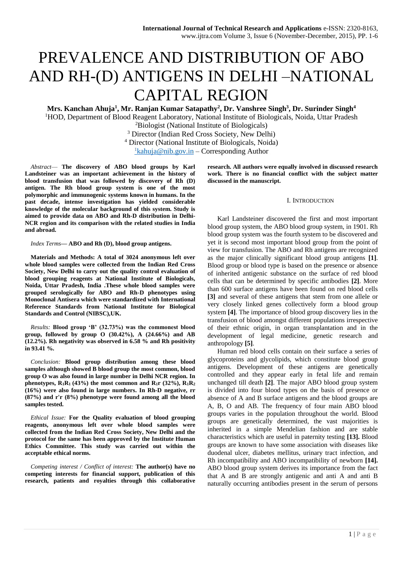# PREVALENCE AND DISTRIBUTION OF ABO AND RH-(D) ANTIGENS IN DELHI –NATIONAL CAPITAL REGION

**Mrs. Kanchan Ahuja<sup>1</sup> , Mr. Ranjan Kumar Satapathy<sup>2</sup> , Dr. Vanshree Singh<sup>3</sup> , Dr. Surinder Singh<sup>4</sup>**

<sup>1</sup>HOD, Department of Blood Reagent Laboratory, National Institute of Biologicals, Noida, Uttar Pradesh

<sup>2</sup>Biologist (National Institute of Biologicals)

<sup>3</sup> Director (Indian Red Cross Society, New Delhi)

<sup>4</sup> Director (National Institute of Biologicals, Noida)

 $1$ [kahuja@nib.gov.in](mailto:1kahuja@nib.gov.in) – Corresponding Author

*Abstract*— **The discovery of ABO blood groups by Karl Landsteiner was an important achievement in the history of blood transfusion that was followed by discovery of Rh (D) antigen. The Rh blood group system is one of the most polymorphic and immunogenic systems known in humans. In the past decade, intense investigation has yielded considerable knowledge of the molecular background of this system. Study is aimed to provide data on ABO and Rh-D distribution in Delhi-NCR region and its comparison with the related studies in India and abroad.** 

*Index Terms***— ABO and Rh (D), blood group antigens.**

**Materials and Methods: A total of 3024 anonymous left over whole blood samples were collected from the Indian Red Cross Society, New Delhi to carry out the quality control evaluation of blood grouping reagents at National Institute of Biologicals, Noida, Uttar Pradesh, India .These whole blood samples were grouped serologically for ABO and Rh-D phenotypes using Monoclonal Antisera which were standardized with International Reference Standards from National Institute for Biological Standards and Control (NIBSC),UK.**

*Results:* **Blood group 'B' (32.73%) was the commonest blood group, followed by group O (30.42%), A (24.66%) and AB (12.2%). Rh negativity was observed in 6.58 % and Rh positivity in 93.41 %.**

*Conclusion:* **Blood group distribution among these blood samples although showed B blood group the most common, blood group O was also found in large number in Delhi NCR region. In phenotypes,**  $R_1R_1$  **(43%) the most common and**  $R_1r$  **(32%),**  $R_1R_2$ **(16%) were also found in large numbers. In Rh-D negative, rr (87%) and r'r (8%) phenotype were found among all the blood samples tested.**

*Ethical Issue:* **For the Quality evaluation of blood grouping reagents, anonymous left over whole blood samples were collected from the Indian Red Cross Society, New Delhi and the protocol for the same has been approved by the Institute Human Ethics Committee. This study was carried out within the acceptable ethical norms.**

*Competing interest / Conflict of interest:* **The author(s) have no competing interests for financial support, publication of this research, patients and royalties through this collaborative** 

**research. All authors were equally involved in discussed research work. There is no financial conflict with the subject matter discussed in the manuscript.**

#### I. INTRODUCTION

Karl Landsteiner discovered the first and most important blood group system, the ABO blood group system, in 1901. Rh blood group system was the fourth system to be discovered and yet it is second most important blood group from the point of view for transfusion. The ABO and Rh antigens are recognized as the major clinically significant blood group antigens **[1]**. Blood group or blood type is based on the presence or absence of inherited antigenic substance on the surface of red blood cells that can be determined by specific antibodies **[2]**. More than 600 surface antigens have been found on red blood cells **[3]** and several of these antigens that stem from one allele or very closely linked genes collectively form a blood group system **[4]**. The importance of blood group discovery lies in the transfusion of blood amongst different populations irrespective of their ethnic origin, in organ transplantation and in the development of legal medicine, genetic research and anthropology **[5]**.

Human red blood cells contain on their surface a series of glycoproteins and glycolipids, which constitute blood group antigens. Development of these antigens are genetically controlled and they appear early in fetal life and remain unchanged till death **[2]**. The major ABO blood group system is divided into four blood types on the basis of presence or absence of A and B surface antigens and the blood groups are A, B, O and AB. The frequency of four main ABO blood groups varies in the population throughout the world. Blood groups are genetically determined, the vast majorities is inherited in a simple Mendelian fashion and are stable characteristics which are useful in paternity testing **[13].** Blood groups are known to have some association with diseases like duodenal ulcer, diabetes mellitus, urinary tract infection, and Rh incompatibility and ABO incompatibility of newborn **[14].** ABO blood group system derives its importance from the fact that A and B are strongly antigenic and anti A and anti B naturally occurring antibodies present in the serum of persons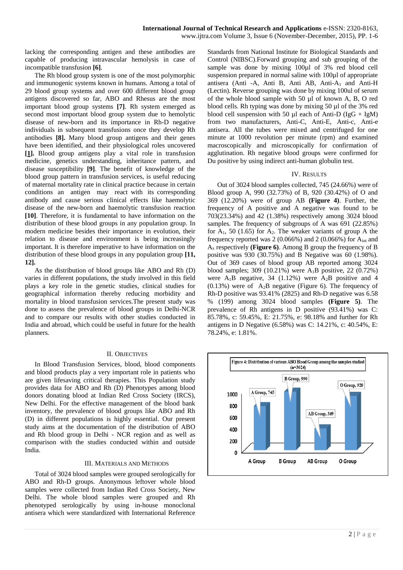lacking the corresponding antigen and these antibodies are capable of producing intravascular hemolysis in case of incompatible transfusion **[6]**.

The Rh blood group system is one of the most polymorphic and immunogenic systems known in humans. Among a total of 29 blood group systems and over 600 different blood group antigens discovered so far, ABO and Rhesus are the most important blood group systems **[7]**. Rh system emerged as second most important blood group system due to hemolytic disease of new-born and its importance in Rh-D negative individuals in subsequent transfusions once they develop Rh antibodies **[8].** Many blood group antigens and their genes have been identified, and their physiological roles uncovered **[\[1\]](http://www.ncbi.nlm.nih.gov/pmc/articles/PMC3353626/#ref1).** Blood group antigens play a vital role in transfusion medicine, genetics understanding, inheritance pattern, and disease susceptibility **[9]**. The benefit of knowledge of the blood group pattern in transfusion services, is useful reducing of maternal mortality rate in clinical practice because in certain conditions an antigen may react with its corresponding antibody and cause serious clinical effects like haemolytic disease of the new-born and haemolytic transfusion reaction **[10]**. Therefore, it is fundamental to have information on the distribution of these blood groups in any population group. In modern medicine besides their importance in evolution, their relation to disease and environment is being increasingly important. It is therefore imperative to have information on the distribution of these blood groups in any population group **[11, 12].**

As the distribution of blood groups like ABO and Rh (D) varies in different populations, the study involved in this field plays a key role in the genetic studies, clinical studies for geographical information thereby reducing morbidity and mortality in blood transfusion services.The present study was done to assess the prevalence of blood groups in Delhi-NCR and to compare our results with other studies conducted in India and abroad, which could be useful in future for the health planners.

## II. OBJECTIVES

In Blood Transfusion Services, blood, blood components and blood products play a very important role in patients who are given lifesaving critical therapies. This Population study provides data for ABO and Rh (D) Phenotypes among blood donors donating blood at Indian Red Cross Society (IRCS), New Delhi. For the effective management of the blood bank inventory, the prevalence of blood groups like ABO and Rh (D) in different populations is highly essential. Our present study aims at the documentation of the distribution of ABO and Rh blood group in Delhi - NCR region and as well as comparison with the studies conducted within and outside India.

# III. MATERIALS AND METHODS

Total of 3024 blood samples were grouped serologically for ABO and Rh-D groups. Anonymous leftover whole blood samples were collected from Indian Red Cross Society, New Delhi. The whole blood samples were grouped and Rh phenotyped serologically by using in-house monoclonal antisera which were standardized with International Reference Standards from National Institute for Biological Standards and Control (NIBSC).Forward grouping and sub grouping of the sample was done by mixing 100 $\mu$ l of 3% red blood cell suspension prepared in normal saline with 100 $\mu$ l of appropriate antisera (Anti -A, Anti B, Anti AB, Anti-A<sup>1</sup> and Anti-H (Lectin). Reverse grouping was done by mixing 100ul of serum of the whole blood sample with 50 µl of known A, B, O red blood cells. Rh typing was done by mixing 50 µl of the 3% red blood cell suspension with 50  $\mu$ l each of Anti-D (IgG + IgM) from two manufacturers, Anti-C, Anti-E, Anti-c, Anti-e antisera. All the tubes were mixed and centrifuged for one minute at 1000 revolution per minute (rpm) and examined macroscopically and microscopically for confirmation of agglutination. Rh negative blood groups were confirmed for Du positive by using indirect anti-human globulin test.

#### IV. RESULTS

Out of 3024 blood samples collected, 745 (24.66%) were of Blood group A, 990 (32.73%) of B, 920 (30.42%) of O and 369 (12.20%) were of group AB **(Figure 4)**. Further, the frequency of A positive and A negative was found to be 703(23.34%) and 42 (1.38%) respectively among 3024 blood samples. The frequency of subgroups of A was 691 (22.85%) for  $A_1$ , 50 (1.65) for  $A_2$ . The weaker variants of group A the frequency reported was  $2(0.066\%)$  and  $2(0.066\%)$  for  $A<sub>int</sub>$  and A<sup>x</sup> respectively **(Figure 6)**. Among B group the frequency of B positive was 930 (30.75%) and B Negative was 60 (1.98%). Out of 369 cases of blood group AB reported among 3024 blood samples; 309 (10.21%) were  $A_1B$  positive, 22 (0.72%) were  $A_1B$  negative, 34 (1.12%) were  $A_2B$  positive and 4  $(0.13\%)$  were of A<sub>2</sub>B negative (Figure 6). The frequency of Rh-D positive was 93.41% (2825) and Rh-D negative was 6.58 % (199) among 3024 blood samples **(Figure 5)**. The prevalence of Rh antigens in D positive (93.41%) was C: 85.78%, c: 59.45%, E: 21.75%, e: 98.18% and further for Rh antigens in D Negative (6.58%) was C: 14.21%, c: 40.54%, E: 78.24%, e: 1.81%.

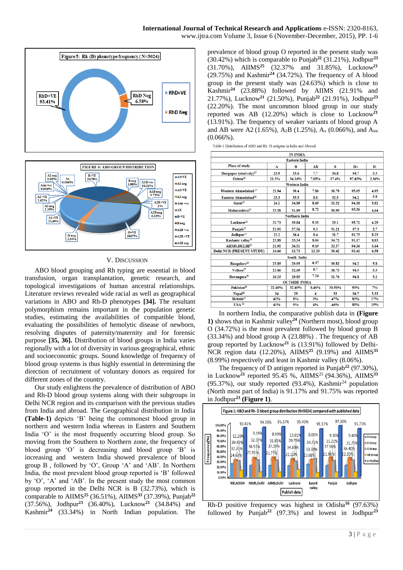www.ijtra.com Volume 3, Issue 6 (November-December, 2015), PP. 1-6



## V. DISCUSSION

ABO blood grouping and Rh typing are essential in blood transfusion, organ transplantation, genetic research, and topological investigations of human ancestral relationships. Literature reviews revealed wide racial as well as geographical variations in ABO and Rh-D phenotypes **[34].** The resultant polymorphism remains important in the population genetic studies, estimating the availabilities of compatible blood, evaluating the possibilities of hemolytic disease of newborn, resolving disputes of paternity/maternity and for forensic purpose **[35, 36].** Distribution of blood groups in India varies regionally with a lot of diversity in various geographical, ethnic and socioeconomic groups. Sound knowledge of frequency of blood group systems is thus highly essential in determining the direction of recruitment of voluntary donors as required for different zones of the country.

Our study enlightens the prevalence of distribution of ABO and Rh-D blood group systems along with their subgroups in Delhi NCR region and its comparison with the previous studies from India and abroad. The Geographical distribution in India **(Table-1)** depicts 'B' being the commonest blood group in northern and western India whereas in Eastern and Southern India 'O' is the most frequently occurring blood group. So moving from the Southern to Northern zone, the frequency of blood group 'O' is decreasing and blood group 'B' is increasing and western India showed prevalence of blood group B , followed by 'O', Group 'A' and 'AB'. In Northern India, the most prevalent blood group reported is 'B' followed by 'O', 'A' and 'AB'. In the present study the most common group reported in the Delhi NCR is B (32.73%), which is comparable to AIIMS**<sup>25</sup>** (36.51%), AIIMS**<sup>33</sup>** (37.39%), Punjab**<sup>22</sup>** (37.56%), Jodhpur**<sup>23</sup>** (36.40%), Lucknow**<sup>21</sup>** (34.84%) and Kashmir**<sup>24</sup>**(33.34%) in North Indian population. The

prevalence of blood group O reported in the present study was (30.42%) which is comparable to Punjab**<sup>22</sup>** (31.21%), Jodhpur**<sup>23</sup>** (31.70%), AIIMS**<sup>25</sup>** (32.37% and 31.85%), Lucknow**<sup>21</sup>** (29.75%) and Kashmir**<sup>24</sup>** (34.72%). The frequency of A blood group in the present study was (24.63%) which is close to Kashmir**<sup>24</sup>** (23.88%) followed by AIIMS (21.91% and 21.77%), Lucknow**<sup>21</sup>** (21.50%), Punjab**<sup>22</sup>** (21.91%), Jodhpur**<sup>23</sup>** (22.20%). The most uncommon blood group in our study reported was AB (12.20%) which is close to Lucknow**<sup>21</sup>** (13.91%). The frequency of weaker variants of blood group A and AB were A2 (1.65%), A<sub>2</sub>B (1.25%), A<sub>x</sub> (0.066%), and A<sub>int</sub> (0.066%).

| Table-1 Distribution of ABO and Rh-D antigens in India and Abroad |  |  |
|-------------------------------------------------------------------|--|--|
|                                                                   |  |  |

| IN INDIA                            |        |                        |              |             |            |      |  |  |  |  |  |
|-------------------------------------|--------|------------------------|--------------|-------------|------------|------|--|--|--|--|--|
| <b>Eastern India</b>                |        |                        |              |             |            |      |  |  |  |  |  |
| Place of study                      | A      | B                      | AB           | $\bf{0}$    | $D+$<br>D- |      |  |  |  |  |  |
| Durgapur (steel city) <sup>15</sup> | 23.9   | 33.6                   | 7.7          | 34.8        | 94.7       | 5.3  |  |  |  |  |  |
| Orissa <sup>16</sup>                | 21.3%  | 34.16%                 | 37.4%        | 97.63%      | 2.36%      |      |  |  |  |  |  |
| Western India                       |        |                        |              |             |            |      |  |  |  |  |  |
| Western Ahmedabad <sup>17</sup>     | 21.94  | 39.4                   | 7.86         | 95.05       | 4.95       |      |  |  |  |  |  |
| Eastern Ahmedabad <sup>18</sup>     | 23.3   | 35.5                   | 32.5         | 5.8<br>94.2 |            |      |  |  |  |  |  |
| Surat <sup>19</sup>                 | 24.1   | 34.89                  | 8.69         | 32.32       | 94.18      | 5.82 |  |  |  |  |  |
| Maharashtra <sup>20</sup>           | 23.38  | 31.89                  | 8.72         | 30.99       | 95.36      | 4.64 |  |  |  |  |  |
| Northern India                      |        |                        |              |             |            |      |  |  |  |  |  |
| Lucknow <sup>21</sup>               | 21.73  | 39.84<br>9.33<br>29.1  |              |             | 95.71      | 4.29 |  |  |  |  |  |
| Punjab <sup>22</sup>                | 21.91  | 37.56                  | 9.3<br>31.21 |             | 97.3       | 2.7  |  |  |  |  |  |
| Jodhpur <sup>23</sup>               | 22.2   | 36.4                   | 9.4          | 31.7        | 91.75      | 8.25 |  |  |  |  |  |
| Kashmir valley <sup>24</sup>        | 23.88  | 33.34                  | 8.06         | 34.72       | 91.17      | 8.83 |  |  |  |  |  |
| AIIMS.DELHI <sup>25</sup>           | 21.91  | 36.51                  | 9.19         | 32.37       | 94.36      | 5.64 |  |  |  |  |  |
| Delhi NCR (PRESENT STUDY)           | 24.66  | 32.73                  | 12.20        | 30.42       | 93.41      | 6.58 |  |  |  |  |  |
| South India                         |        |                        |              |             |            |      |  |  |  |  |  |
| Bangalore <sup>26</sup>             | 23.85  | 6.37<br>39.82<br>29.95 |              |             | 94.2       | 5.8  |  |  |  |  |  |
| Vellore <sup>27</sup>               | 21.86  | 32.69                  | 6.7          | 38.75       | 94.5       | 5.5  |  |  |  |  |  |
| Davangere <sup>28</sup>             | 26.15  | 29.85                  | 7.24         | 31.76       | 94.8       | 5.2  |  |  |  |  |  |
| <b>OUTSIDE INDIA</b>                |        |                        |              |             |            |      |  |  |  |  |  |
| Pakistan <sup>29</sup>              | 22.40% | 32.40%                 | 8.40%        | 30.50%      | 93%        | 7%   |  |  |  |  |  |
| Nepal <sup>30</sup>                 | 34     | 29                     | 4            | 33          | 96.7       | 3.33 |  |  |  |  |  |
| Britain <sup>31</sup>               | 42%    | 8%                     | 3%           | 47%<br>83%  |            |      |  |  |  |  |  |
| $USA$ <sup>32</sup>                 | 41%    | 9%                     | 4%           | 46%         | 85%        | 15%  |  |  |  |  |  |

In northern India, the comparative publish data in **(Figure 1)** shows that in Kashmir valley**<sup>24</sup>** (Northern most), blood group O (34.72%) is the most prevalent followed by blood group B (33.34%) and blood group A (23.88%) . The frequency of AB group reported by Lucknow**<sup>21</sup>** is (13.91%) followed by Delhi-NCR region data (12.20%), AIIMS**<sup>25</sup>** (9.19%) and AIIMS**<sup>33</sup>** (8.99%) respectively and least in Kashmir valley (8.06%).

The frequency of D antigen reported in Punjab**<sup>22</sup>** (97.30%), in Lucknow<sup>21</sup> reported 95.45 %, AIIMS<sup>25</sup> (94.36%), AIIMS<sup>33</sup> (95.37%), our study reported  $(93.4\%)$ , Kashmir<sup>24</sup> population (North most part of India) is 91.17% and 91.75% was reported in Jodhpur**<sup>23</sup> (Figure 1)**.



Rh-D positive frequency was highest in Odisha**<sup>16</sup>** (97.63%) followed by Punjab**<sup>22</sup>** (97.3%) and lowest in Jodhpur**<sup>23</sup>**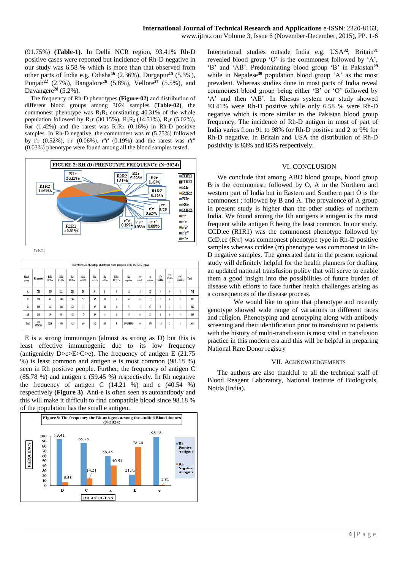(91.75%) **(Table-1)**. In Delhi NCR region, 93.41% Rh-D positive cases were reported but incidence of Rh-D negative in our study was 6.58 % which is more than that observed from other parts of India e.g. Odisha**<sup>16</sup>** (2.36%), Durgapur**<sup>15</sup>** (5.3%), Punjab**<sup>22</sup>** (2.7%), Bangalore**<sup>26</sup>** (5.8%), Vellore**<sup>27</sup>** (5.5%), and Davangere**<sup>28</sup>** (5.2%).

The frequency of Rh-D phenotypes **(Figure-02)** and distribution of different blood groups among 3024 samples (**Table-02)**, the commonest phenotype was  $R_1R_1$  constituting 40.31% of the whole population followed by R<sub>1</sub>r (30.15%), R<sub>1</sub>R<sub>2</sub> (14.51%), R<sub>2</sub>r (5.02%), R<sub>0</sub>r (1.42%) and the rarest was  $R_1R_2$  (0.16%) in Rh-D positive samples. In Rh-D negative, the commonest was rr (5.75%) followed by r'r (0.52%), r'r' (0.06%), r''r' (0.19%) and the rarest was r'r'' (0.03%) phenotype were found among all the blood samples tested.



Table-02:

|                | Distribution of Phenotype of different blood groups in Delhi and NCR region |                |               |               |                |              |               |                |                         |              |                        |              |                  |                 |       |
|----------------|-----------------------------------------------------------------------------|----------------|---------------|---------------|----------------|--------------|---------------|----------------|-------------------------|--------------|------------------------|--------------|------------------|-----------------|-------|
| Blood<br>group | Rh positive                                                                 | R:R:<br>CCDe.e | R.R.<br>CcDEe | Rır<br>CcD.ee | R:R:<br>ccD.EE | Rт<br>ccD.Ee | Rır<br>ccD.ee | RiRz<br>CCD.Ee | Rh<br>negative          | ťr.<br>ceddE | $\mathbf{r}$<br>coddee | ŕr<br>Ceddee | ťť<br>Cedde<br>e | r'r''<br>CoddEe | Total |
| A              | 703                                                                         | 303            | 112           | 230           | 10             | 39           | 9             | 0              | 42                      | 3            | 35                     | 4            | 0                | ō               | 745   |
| B              | 930                                                                         | 401            | 146           | 296           | $21$           | 47           | 18            | ٠<br>1         | 60                      | 0            | 55                     | ĵ            | 0                | ö               | 990   |
| $\mathbf{0}$   | 849                                                                         | 385            | 122           | 264           | 17             | 47           | ll            | 3              | $\overline{\mathbf{u}}$ |              | 59                     | 6            | $\overline{1}$   |                 | 920   |
| <b>AB</b>      | 343                                                                         | 130            | 59            | 122           | 7              | 19           | 5             | ı              | 26                      | ō            | 25                     |              | 0                | ö               | 369   |
| Total          | 2825<br>(93.496)                                                            | 1219           | 439           | 912           | $\mathbb{S}$   | 152          | 43            | 5              | 199 (6.58%)             | 6            | 174                    | 16           | 2                |                 | 3024  |

E is a strong immunogen (almost as strong as D) but this is least effective immunogenic due to its low frequency (antigenicity D>c>E>C>e). The frequency of antigen E  $(21.75)$ %) is least common and antigen e is most common (98.18 %) seen in Rh positive people. Further, the frequency of antigen C (85.78 %) and antigen c (59.45 %) respectively. In Rh negative the frequency of antigen C  $(14.21 \%)$  and c  $(40.54 \%)$ respectively **(Figure 3)**. Anti-e is often seen as autoantibody and this will make it difficult to find compatible blood since 98.18 % of the population has the small e antigen.



International studies outside India e.g. USA**<sup>32</sup>**, Britain**<sup>31</sup>** revealed blood group 'O' is the commonest followed by 'A', 'B' and 'AB'. Predominating blood group 'B' in Pakistan**<sup>29</sup>** while in Nepalese<sup>30</sup> population blood group 'A' as the most prevalent. Whereas studies done in most parts of India reveal commonest blood group being either 'B' or 'O' followed by 'A' and then 'AB'. In Rhesus system our study showed 93.41% were Rh-D positive while only 6.58 % were Rh-D negative which is more similar to the Pakistan blood group frequency. The incidence of Rh-D antigen in most of part of India varies from 91 to 98% for Rh-D positive and 2 to 9% for Rh-D negative. In Britain and USA the distribution of Rh-D positivity is 83% and 85% respectively.

# VI. CONCLUSION

We conclude that among ABO blood groups, blood group B is the commonest; followed by O, A in the Northern and western part of India but in Eastern and Southern part O is the commonest ; followed by B and A. The prevalence of A group in present study is higher than the other studies of northern India. We found among the Rh antigens e antigen is the most frequent while antigen E being the least common. In our study, CCD.ee (R1R1) was the commonest phenotype followed by CcD.ee  $(R_1r)$  was commonest phenotype type in Rh-D positive samples whereas ccddee (rr) phenotype was commonest in Rh-D negative samples. The generated data in the present regional study will definitely helpful for the health planners for drafting an updated national transfusion policy that will serve to enable them a good insight into the possibilities of future burden of disease with efforts to face further health challenges arising as a consequences of the disease process.

We would like to opine that phenotype and recently genotype showed wide range of variations in different races and religion. Phenotyping and genotyping along with antibody screening and their identification prior to transfusion to patients with the history of multi-transfusion is most vital in transfusion practice in this modern era and this will be helpful in preparing National Rare Donor registry

# VII. ACKNOWLEDGEMENTS

The authors are also thankful to all the technical staff of Blood Reagent Laboratory, National Institute of Biologicals, Noida (India).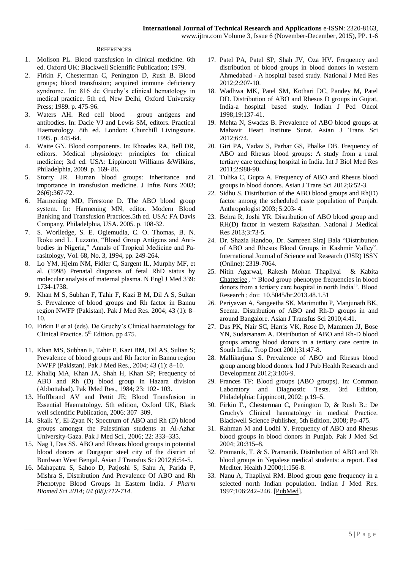## **REFERENCES**

- 1. Molison PL. Blood transfusion in clinical medicine. 6th ed. Oxford UK: Blackwell Scientific Publication; 1979.
- 2. Firkin F, Chesterman C, Penington D, Rush B. Blood groups; blood transfusion; acquired immune deficiency syndrome. In: 816 de Gruchy's clinical hematology in medical practice. 5th ed, New Delhi, Oxford University Press; 1989. p. 475-96.
- 3. Waters AH. Red cell blood —group antigens and antibodies. In: Dacie VJ and Lewis SM, editors. Practical Haematology. 8th ed. London: Churchill Livingstone. 1995. p. 445-64.
- 4. Waite GN. Blood components. In: Rhoades RA, Bell DR, editors. Medical physiology: principles for clinical medicine; 3rd ed. USA: Lippincott Williams &Wilkins, Philadelphia, 2009. p. 169- 86.
- 5. Storry JR. Human blood groups: inheritance and importance in transfusion medicine. J Infus Nurs 2003; 26(6):367-72.
- 6. Harmening MD, Firestone D. The ABO blood group system. In: Harmening MN, editor. Modern Blood Banking and Transfusion Practices.5th ed. USA: FA Davis Company, Philadelphia, USA. 2005. p. 108-32.
- 7. S. Worlledge, S. E. Ogiemudia, C. O. Thomas, B. N. Ikoku and L. Luzzuto, "Blood Group Antigens and Antibodies in Nigeria," Annals of Tropical Medicine and Parasitology, Vol. 68, No. 3, 1994, pp. 249-264.
- 8. Lo YM, Hjelm NM, Fidler C, Sargent IL, Murphy MF, et al. (1998) Prenatal diagnosis of fetal RhD status by molecular analysis of maternal plasma. N Engl J Med 339: 1734-1738.
- 9. Khan M S, Subhan F, Tahir F, Kazi B M, Dil A S, Sultan S. Prevalence of blood groups and Rh factor in Bannu region NWFP (Pakistan). Pak J Med Res. 2004; 43 (1): 8– 10.
- 10. Firkin F et al (eds). De Gruchy's Clinical haematology for Clinical Practice.  $5<sup>th</sup>$  Edition. pp 475.
- 11. Khan MS, Subhan F, Tahir F, Kazi BM, Dil AS, Sultan S; Prevalence of blood groups and Rh factor in Bannu region NWFP (Pakistan). Pak J Med Res., 2004; 43 (1): 8–10.
- 12. Khaliq MA, Khan JA, Shah H, Khan SP; Frequency of ABO and Rh (D) blood group in Hazara division (Abbottabad). Pak JMed Res., 1984; 23: 102- 103.
- 13. Hoffbrand AV and Pettit JE; Blood Transfusion in Essential Haematology. 5th edition, Oxford UK, Black well scientific Publication, 2006: 307–309.
- 14. Skaik Y, El-Zyan N; Spectrum of ABO and Rh (D) blood groups amongst the Palestinian students at Al-Azhar University-Gaza. Pak J Med Sci., 2006; 22: 333–335.
- 15. Nag I, Das SS. ABO and Rhesus blood groups in potential blood donors at Durgapur steel city of the district of Burdwan West Bengal. Asian J Transfus Sci 2012;6:54-5.
- 16. Mahapatra S, Sahoo D, Patjoshi S, Sahu A, Parida P, Mishra S, Distribution And Prevalence Of ABO and Rh Phenotype Blood Groups In Eastern India. *J Pharm Biomed Sci 2014; 04 (08):712-714.*
- 17. Patel PA, Patel SP, Shah JV, Oza HV. Frequency and distribution of blood groups in blood donors in western Ahmedabad - A hospital based study. National J Med Res 2012;2:207-10.
- 18. Wadhwa MK, Patel SM, Kothari DC, Pandey M, Patel DD. Distribution of ABO and Rhesus D groups in Gujrat, India-a hospital based study. Indian J Ped Oncol 1998;19:137-41.
- 19. Mehta N, Swadas B. Prevalence of ABO blood groups at Mahavir Heart Institute Surat. Asian J Trans Sci 2012;6:74.
- 20. Giri PA, Yadav S, Parhar GS, Phalke DB. Frequency of ABO and Rhesus blood groups: A study from a rural tertiary care teaching hospital in India. Int J Biol Med Res 2011;2:988-90.
- 21. Tulika C, Gupta A. Frequency of ABO and Rhesus blood groups in blood donors. Asian J Trans Sci 2012;6:52-3.
- 22. Sidhu S. Distribution of the ABO blood groups and Rh(D) factor among the scheduled caste population of Punjab. Anthropologist 2003; 5:203- 4.
- 23. Behra R, Joshi YR. Distribution of ABO blood group and RH(D) factor in western Rajasthan. National J Medical Res 2013;3:73-5.
- 24. Dr. Shazia Handoo, Dr. Samreen Siraj Bala "Distribution of ABO and Rhesus Blood Groups in Kashmir Valley". International Journal of Science and Research (IJSR) ISSN (Online): 2319-7064.
- 25. [Nitin Agarwal,](http://www.ncbi.nlm.nih.gov/pubmed/?term=Agarwal%20N%5Bauth%5D) [Rakesh Mohan Thapliyal](http://www.ncbi.nlm.nih.gov/pubmed/?term=Thapliyal%20RM%5Bauth%5D) & [Kabita](http://www.ncbi.nlm.nih.gov/pubmed/?term=Chatterjee%20K%5Bauth%5D)  [Chatterjee](http://www.ncbi.nlm.nih.gov/pubmed/?term=Chatterjee%20K%5Bauth%5D) , '' Blood group phenotype frequencies in blood donors from a tertiary care hospital in north India''. Blood Research ; doi: [10.5045/br.2013.48.1.51](http://dx.doi.org/10.5045%2Fbr.2013.48.1.51)
- 26. Periyavan A, Sangeetha SK, Marimuthu P, Manjunath BK, Seema. Distribution of ABO and Rh-D groups in and around Bangalore. Asian J Transfus Sci 2010;4:41.
- 27. Das PK, Nair SC, Harris VK, Rose D, Mammen JJ, Bose YN, Sudarsanam A. Distribution of ABO and Rh-D blood groups among blood donors in a tertiary care centre in South India. Trop Doct 2001;31:47-8.
- 28. Mallikarjuna S. Prevalence of ABO and Rhesus blood group among blood donors. Ind J Pub Health Research and Development 2012;3:106-9.
- 29. Frances TF: Blood groups (ABO groups). In: Common Laboratory and Diagnostic Tests. 3rd Edition, Philadelphia: Lippincott, 2002; p.19–5.
- 30. Firkin F., Chesterman C, Penington D, & Rush B.: De Gruchy's Clinical haematology in medical Practice. Blackwell Science Publisher, 5th Edition, 2008; Pp-475.
- 31. Rahman M and Lodhi Y. Frequency of ABO and Rhesus blood groups in blood donors in Punjab. Pak J Med Sci 2004; 20:315–8.
- 32. Pramanik, T. & S. Pramanik. Distribution of ABO and Rh blood groups in Nepalese medical students: a report. East Mediter. Health J.2000;1:156-8.
- 33. Nanu A, Thapliyal RM. Blood group gene frequency in a selected north Indian population. Indian J Med Res. 1997;106:242–246. [\[PubMed\]](http://www.ncbi.nlm.nih.gov/pubmed/9378531).